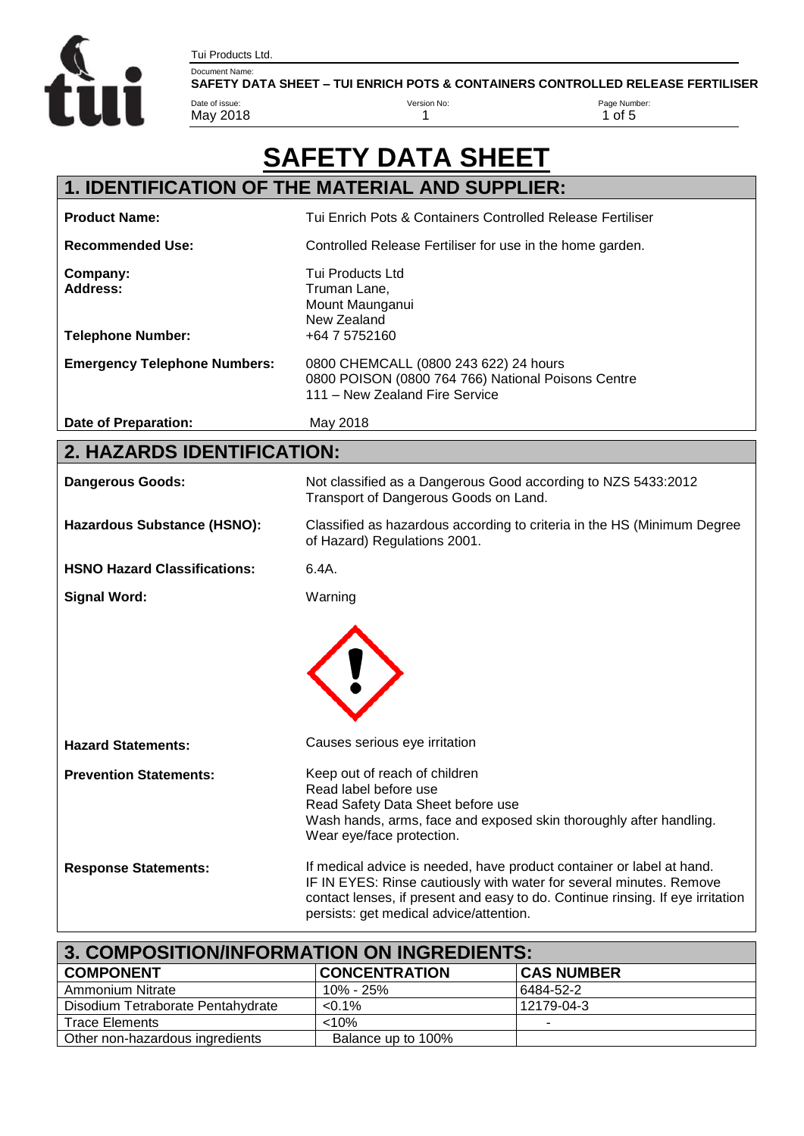Tui Products Ltd.



Document Name:<br>SAFETY DATA SHEET – TUI ENRICH POTS & CONTAINERS CONTROLLED RELEASE FERTILISER

Version No:

| Date of issue:<br>May 2018                              | Version No:<br>1                                                                                                                                                                                                                                                          | Page Number:<br>$1$ of $5$ |
|---------------------------------------------------------|---------------------------------------------------------------------------------------------------------------------------------------------------------------------------------------------------------------------------------------------------------------------------|----------------------------|
|                                                         | <b>SAFETY DATA SHEET</b>                                                                                                                                                                                                                                                  |                            |
|                                                         | 1. IDENTIFICATION OF THE MATERIAL AND SUPPLIER:                                                                                                                                                                                                                           |                            |
| <b>Product Name:</b>                                    | Tui Enrich Pots & Containers Controlled Release Fertiliser                                                                                                                                                                                                                |                            |
| <b>Recommended Use:</b>                                 | Controlled Release Fertiliser for use in the home garden.                                                                                                                                                                                                                 |                            |
| Company:<br><b>Address:</b><br><b>Telephone Number:</b> | <b>Tui Products Ltd</b><br>Truman Lane,<br>Mount Maunganui<br>New Zealand<br>+64 7 5752160                                                                                                                                                                                |                            |
| <b>Emergency Telephone Numbers:</b>                     | 0800 CHEMCALL (0800 243 622) 24 hours<br>0800 POISON (0800 764 766) National Poisons Centre<br>111 - New Zealand Fire Service                                                                                                                                             |                            |
| Date of Preparation:                                    | May 2018                                                                                                                                                                                                                                                                  |                            |
| 2. HAZARDS IDENTIFICATION:                              |                                                                                                                                                                                                                                                                           |                            |
| <b>Dangerous Goods:</b>                                 | Not classified as a Dangerous Good according to NZS 5433:2012<br>Transport of Dangerous Goods on Land.                                                                                                                                                                    |                            |
| Hazardous Substance (HSNO):                             | Classified as hazardous according to criteria in the HS (Minimum Degree<br>of Hazard) Regulations 2001.                                                                                                                                                                   |                            |
| <b>HSNO Hazard Classifications:</b>                     | 6.4A.                                                                                                                                                                                                                                                                     |                            |
| <b>Signal Word:</b>                                     | Warning                                                                                                                                                                                                                                                                   |                            |
|                                                         |                                                                                                                                                                                                                                                                           |                            |
| <b>Hazard Statements:</b>                               | Causes serious eye irritation                                                                                                                                                                                                                                             |                            |
| <b>Prevention Statements:</b>                           | Keep out of reach of children<br>Read label before use<br>Read Safety Data Sheet before use<br>Wash hands, arms, face and exposed skin thoroughly after handling.<br>Wear eye/face protection.                                                                            |                            |
| <b>Response Statements:</b>                             | If medical advice is needed, have product container or label at hand.<br>IF IN EYES: Rinse cautiously with water for several minutes. Remove<br>contact lenses, if present and easy to do. Continue rinsing. If eye irritation<br>persists: get medical advice/attention. |                            |

| 3. COMPOSITION/INFORMATION ON INGREDIENTS: |                      |                   |
|--------------------------------------------|----------------------|-------------------|
| <b>COMPONENT</b>                           | <b>CONCENTRATION</b> | <b>CAS NUMBER</b> |
| Ammonium Nitrate                           | 10% - 25%            | 6484-52-2         |
| Disodium Tetraborate Pentahydrate          | $< 0.1\%$            | 12179-04-3        |
| <b>Trace Elements</b>                      | <10%                 |                   |
| Other non-hazardous ingredients            | Balance up to 100%   |                   |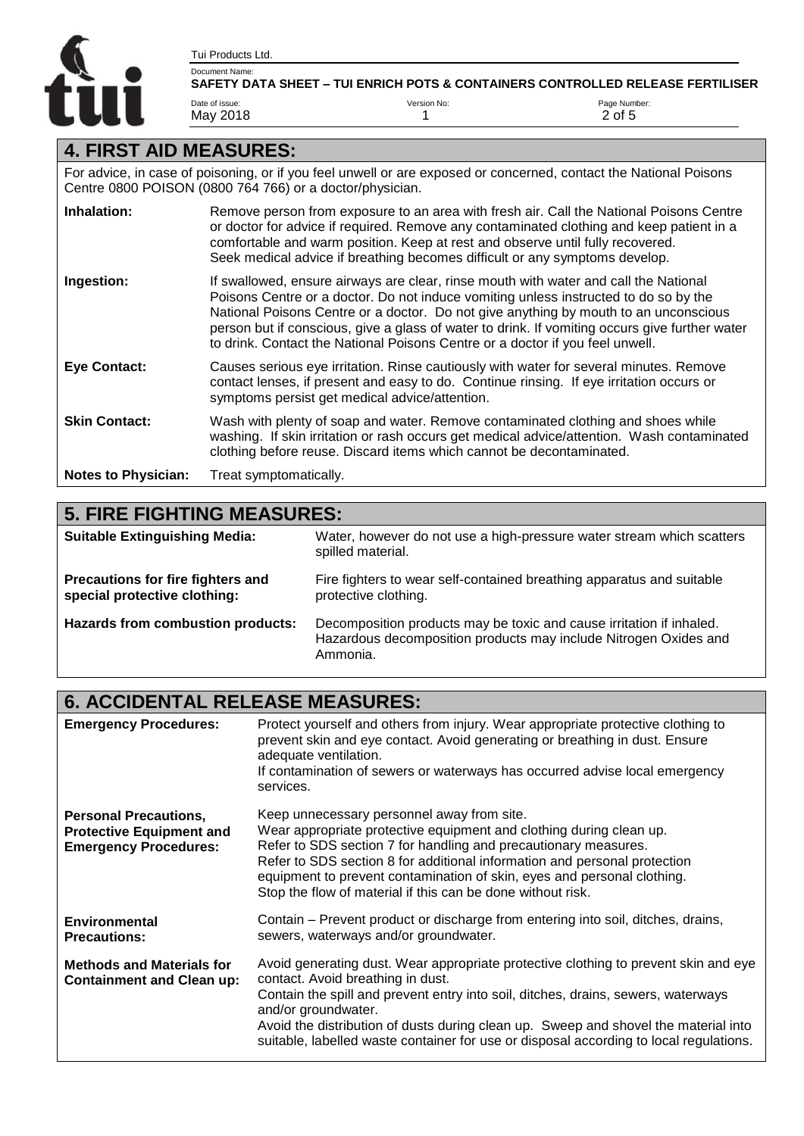

 $2$  of 5

#### **4. FIRST AID MEASURES:**

Tui Products Ltd.

May 2018

For advice, in case of poisoning, or if you feel unwell or are exposed or concerned, contact the National Poisons Centre 0800 POISON (0800 764 766) or a doctor/physician.

1

| Inhalation:                | Remove person from exposure to an area with fresh air. Call the National Poisons Centre<br>or doctor for advice if required. Remove any contaminated clothing and keep patient in a<br>comfortable and warm position. Keep at rest and observe until fully recovered.<br>Seek medical advice if breathing becomes difficult or any symptoms develop.                                                                                                    |
|----------------------------|---------------------------------------------------------------------------------------------------------------------------------------------------------------------------------------------------------------------------------------------------------------------------------------------------------------------------------------------------------------------------------------------------------------------------------------------------------|
| Ingestion:                 | If swallowed, ensure airways are clear, rinse mouth with water and call the National<br>Poisons Centre or a doctor. Do not induce vomiting unless instructed to do so by the<br>National Poisons Centre or a doctor. Do not give anything by mouth to an unconscious<br>person but if conscious, give a glass of water to drink. If vomiting occurs give further water<br>to drink. Contact the National Poisons Centre or a doctor if you feel unwell. |
| <b>Eye Contact:</b>        | Causes serious eye irritation. Rinse cautiously with water for several minutes. Remove<br>contact lenses, if present and easy to do. Continue rinsing. If eye irritation occurs or<br>symptoms persist get medical advice/attention.                                                                                                                                                                                                                    |
| <b>Skin Contact:</b>       | Wash with plenty of soap and water. Remove contaminated clothing and shoes while<br>washing. If skin irritation or rash occurs get medical advice/attention. Wash contaminated<br>clothing before reuse. Discard items which cannot be decontaminated.                                                                                                                                                                                                  |
| <b>Notes to Physician:</b> | Treat symptomatically.                                                                                                                                                                                                                                                                                                                                                                                                                                  |

| <b>5. FIRE FIGHTING MEASURES:</b>                                 |                                                                                                                                                      |
|-------------------------------------------------------------------|------------------------------------------------------------------------------------------------------------------------------------------------------|
| <b>Suitable Extinguishing Media:</b>                              | Water, however do not use a high-pressure water stream which scatters<br>spilled material.                                                           |
| Precautions for fire fighters and<br>special protective clothing: | Fire fighters to wear self-contained breathing apparatus and suitable<br>protective clothing.                                                        |
| Hazards from combustion products:                                 | Decomposition products may be toxic and cause irritation if inhaled.<br>Hazardous decomposition products may include Nitrogen Oxides and<br>Ammonia. |

#### **6. ACCIDENTAL RELEASE MEASURES:**

| <b>Emergency Procedures:</b>                                                                    | Protect yourself and others from injury. Wear appropriate protective clothing to<br>prevent skin and eye contact. Avoid generating or breathing in dust. Ensure<br>adequate ventilation.<br>If contamination of sewers or waterways has occurred advise local emergency<br>services.                                                                                                                                  |
|-------------------------------------------------------------------------------------------------|-----------------------------------------------------------------------------------------------------------------------------------------------------------------------------------------------------------------------------------------------------------------------------------------------------------------------------------------------------------------------------------------------------------------------|
| <b>Personal Precautions,</b><br><b>Protective Equipment and</b><br><b>Emergency Procedures:</b> | Keep unnecessary personnel away from site.<br>Wear appropriate protective equipment and clothing during clean up.<br>Refer to SDS section 7 for handling and precautionary measures.<br>Refer to SDS section 8 for additional information and personal protection<br>equipment to prevent contamination of skin, eyes and personal clothing.<br>Stop the flow of material if this can be done without risk.           |
| <b>Environmental</b><br><b>Precautions:</b>                                                     | Contain – Prevent product or discharge from entering into soil, ditches, drains,<br>sewers, waterways and/or groundwater.                                                                                                                                                                                                                                                                                             |
| <b>Methods and Materials for</b><br><b>Containment and Clean up:</b>                            | Avoid generating dust. Wear appropriate protective clothing to prevent skin and eye<br>contact. Avoid breathing in dust.<br>Contain the spill and prevent entry into soil, ditches, drains, sewers, waterways<br>and/or groundwater.<br>Avoid the distribution of dusts during clean up. Sweep and shovel the material into<br>suitable, labelled waste container for use or disposal according to local regulations. |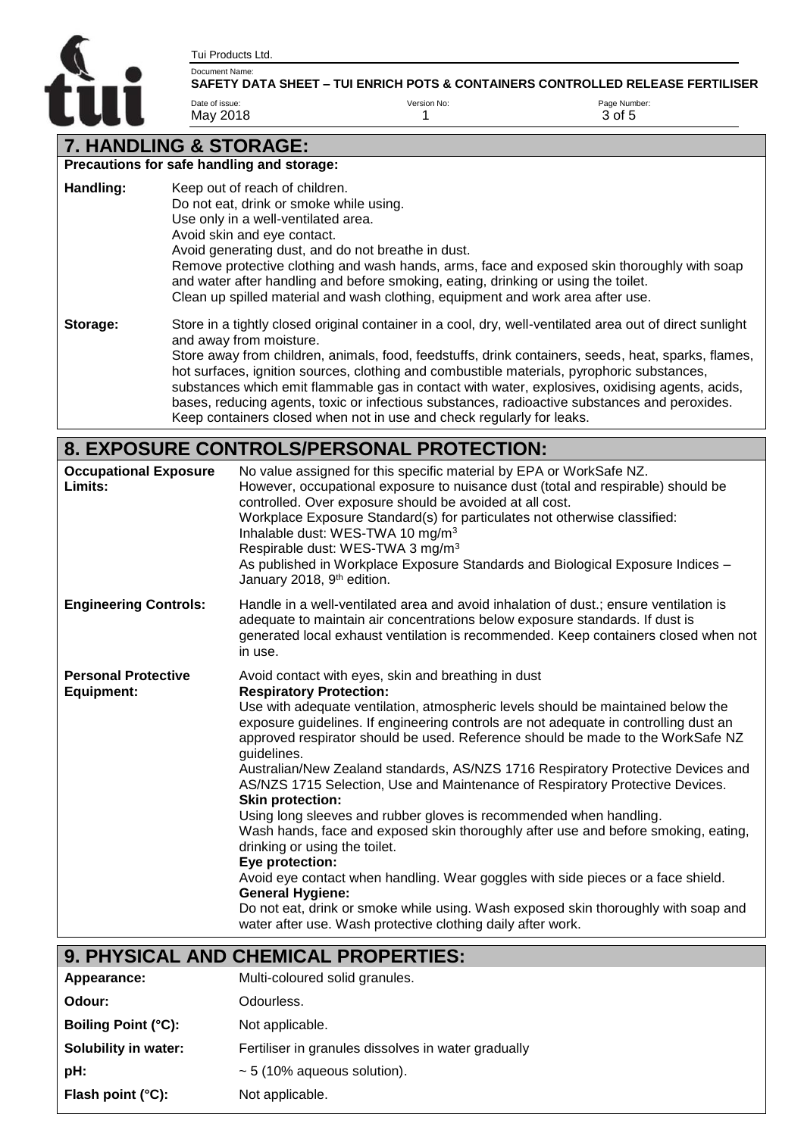Tui Products Ltd.

Date of issue: May 2018



#### Document Name: **SAFETY DATA SHEET – TUI ENRICH POTS & CONTAINERS CONTROLLED RELEASE FERTILISER** <sup>V</sup>

Page Number: 3 of 5

# **7. HANDLING & STORAGE:**

|           | Precautions for safe handling and storage:                                                                                                                                                                                                                                                                                                                                                                                                                                                                                                                                                                            |
|-----------|-----------------------------------------------------------------------------------------------------------------------------------------------------------------------------------------------------------------------------------------------------------------------------------------------------------------------------------------------------------------------------------------------------------------------------------------------------------------------------------------------------------------------------------------------------------------------------------------------------------------------|
| Handling: | Keep out of reach of children.<br>Do not eat, drink or smoke while using.<br>Use only in a well-ventilated area.<br>Avoid skin and eye contact.<br>Avoid generating dust, and do not breathe in dust.<br>Remove protective clothing and wash hands, arms, face and exposed skin thoroughly with soap<br>and water after handling and before smoking, eating, drinking or using the toilet.<br>Clean up spilled material and wash clothing, equipment and work area after use.                                                                                                                                         |
| Storage:  | Store in a tightly closed original container in a cool, dry, well-ventilated area out of direct sunlight<br>and away from moisture.<br>Store away from children, animals, food, feedstuffs, drink containers, seeds, heat, sparks, flames,<br>hot surfaces, ignition sources, clothing and combustible materials, pyrophoric substances,<br>substances which emit flammable gas in contact with water, explosives, oxidising agents, acids,<br>bases, reducing agents, toxic or infectious substances, radioactive substances and peroxides.<br>Keep containers closed when not in use and check regularly for leaks. |

Version No: 1

## **8. EXPOSURE CONTROLS/PERSONAL PROTECTION:**

| <b>Occupational Exposure</b><br>Limits:         | No value assigned for this specific material by EPA or WorkSafe NZ.<br>However, occupational exposure to nuisance dust (total and respirable) should be<br>controlled. Over exposure should be avoided at all cost.<br>Workplace Exposure Standard(s) for particulates not otherwise classified:<br>Inhalable dust: WES-TWA 10 mg/m <sup>3</sup><br>Respirable dust: WES-TWA 3 mg/m <sup>3</sup><br>As published in Workplace Exposure Standards and Biological Exposure Indices -<br>January 2018, 9 <sup>th</sup> edition.                                                                                                                                                                                                                                                                                                                                                                                                                                                                                                                            |
|-------------------------------------------------|---------------------------------------------------------------------------------------------------------------------------------------------------------------------------------------------------------------------------------------------------------------------------------------------------------------------------------------------------------------------------------------------------------------------------------------------------------------------------------------------------------------------------------------------------------------------------------------------------------------------------------------------------------------------------------------------------------------------------------------------------------------------------------------------------------------------------------------------------------------------------------------------------------------------------------------------------------------------------------------------------------------------------------------------------------|
| <b>Engineering Controls:</b>                    | Handle in a well-ventilated area and avoid inhalation of dust.; ensure ventilation is<br>adequate to maintain air concentrations below exposure standards. If dust is<br>generated local exhaust ventilation is recommended. Keep containers closed when not<br>in use.                                                                                                                                                                                                                                                                                                                                                                                                                                                                                                                                                                                                                                                                                                                                                                                 |
| <b>Personal Protective</b><br><b>Equipment:</b> | Avoid contact with eyes, skin and breathing in dust<br><b>Respiratory Protection:</b><br>Use with adequate ventilation, atmospheric levels should be maintained below the<br>exposure guidelines. If engineering controls are not adequate in controlling dust an<br>approved respirator should be used. Reference should be made to the WorkSafe NZ<br>guidelines.<br>Australian/New Zealand standards, AS/NZS 1716 Respiratory Protective Devices and<br>AS/NZS 1715 Selection, Use and Maintenance of Respiratory Protective Devices.<br><b>Skin protection:</b><br>Using long sleeves and rubber gloves is recommended when handling.<br>Wash hands, face and exposed skin thoroughly after use and before smoking, eating,<br>drinking or using the toilet.<br>Eye protection:<br>Avoid eye contact when handling. Wear goggles with side pieces or a face shield.<br><b>General Hygiene:</b><br>Do not eat, drink or smoke while using. Wash exposed skin thoroughly with soap and<br>water after use. Wash protective clothing daily after work. |

## **9. PHYSICAL AND CHEMICAL PROPERTIES:**

| Appearance:                 | Multi-coloured solid granules.                      |
|-----------------------------|-----------------------------------------------------|
| Odour:                      | Odourless.                                          |
| <b>Boiling Point (°C):</b>  | Not applicable.                                     |
| Solubility in water:        | Fertiliser in granules dissolves in water gradually |
| pH:                         | $\sim$ 5 (10% aqueous solution).                    |
| Flash point $(^{\circ}C)$ : | Not applicable.                                     |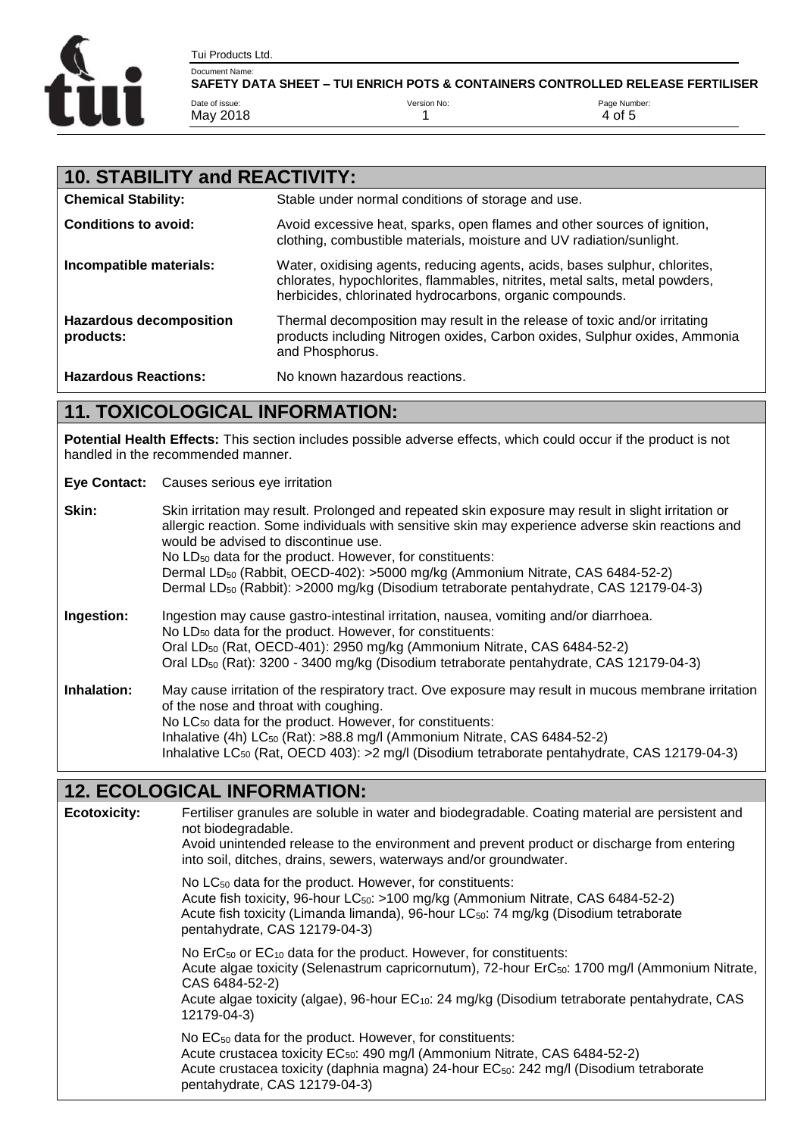

| <b>10. STABILITY and REACTIVITY:</b>        |                                                                                                                                                                                                                       |  |
|---------------------------------------------|-----------------------------------------------------------------------------------------------------------------------------------------------------------------------------------------------------------------------|--|
| <b>Chemical Stability:</b>                  | Stable under normal conditions of storage and use.                                                                                                                                                                    |  |
| <b>Conditions to avoid:</b>                 | Avoid excessive heat, sparks, open flames and other sources of ignition,<br>clothing, combustible materials, moisture and UV radiation/sunlight.                                                                      |  |
| Incompatible materials:                     | Water, oxidising agents, reducing agents, acids, bases sulphur, chlorites,<br>chlorates, hypochlorites, flammables, nitrites, metal salts, metal powders,<br>herbicides, chlorinated hydrocarbons, organic compounds. |  |
| <b>Hazardous decomposition</b><br>products: | Thermal decomposition may result in the release of toxic and/or irritating<br>products including Nitrogen oxides, Carbon oxides, Sulphur oxides, Ammonia<br>and Phosphorus.                                           |  |
| <b>Hazardous Reactions:</b>                 | No known hazardous reactions.                                                                                                                                                                                         |  |

#### **11. TOXICOLOGICAL INFORMATION:**

**Potential Health Effects:** This section includes possible adverse effects, which could occur if the product is not handled in the recommended manner.

**Eye Contact:** Causes serious eye irritation

| Skin:       | Skin irritation may result. Prolonged and repeated skin exposure may result in slight irritation or<br>allergic reaction. Some individuals with sensitive skin may experience adverse skin reactions and<br>would be advised to discontinue use.<br>No LD <sub>50</sub> data for the product. However, for constituents:<br>Dermal LD <sub>50</sub> (Rabbit, OECD-402): >5000 mg/kg (Ammonium Nitrate, CAS 6484-52-2)<br>Dermal LD <sub>50</sub> (Rabbit): >2000 mg/kg (Disodium tetraborate pentahydrate, CAS 12179-04-3) |
|-------------|----------------------------------------------------------------------------------------------------------------------------------------------------------------------------------------------------------------------------------------------------------------------------------------------------------------------------------------------------------------------------------------------------------------------------------------------------------------------------------------------------------------------------|
| Ingestion:  | Ingestion may cause gastro-intestinal irritation, nausea, vomiting and/or diarrhoea.<br>No LD <sub>50</sub> data for the product. However, for constituents:<br>Oral LD <sub>50</sub> (Rat, OECD-401): 2950 mg/kg (Ammonium Nitrate, CAS 6484-52-2)<br>Oral LD <sub>50</sub> (Rat): 3200 - 3400 mg/kg (Disodium tetraborate pentahydrate, CAS 12179-04-3)                                                                                                                                                                  |
| Inhalation: | May cause irritation of the respiratory tract. Ove exposure may result in mucous membrane irritation<br>of the nose and throat with coughing.<br>No LC <sub>50</sub> data for the product. However, for constituents:<br>Inhalative $(4h)$ LC <sub>50</sub> (Rat): >88.8 mg/l (Ammonium Nitrate, CAS 6484-52-2)<br>Inhalative LC <sub>50</sub> (Rat, OECD 403): > 2 mg/l (Disodium tetraborate pentahydrate, CAS 12179-04-3)                                                                                               |

#### **12. ECOLOGICAL INFORMATION:**

**Ecotoxicity:** Fertiliser granules are soluble in water and biodegradable. Coating material are persistent and not biodegradable. Avoid unintended release to the environment and prevent product or discharge from entering into soil, ditches, drains, sewers, waterways and/or groundwater. No LC<sub>50</sub> data for the product. However, for constituents: Acute fish toxicity, 96-hour LC<sub>50</sub>: >100 mg/kg (Ammonium Nitrate, CAS 6484-52-2) Acute fish toxicity (Limanda limanda), 96-hour LC<sub>50</sub>: 74 mg/kg (Disodium tetraborate pentahydrate, CAS 12179-04-3) No ErC<sub>50</sub> or EC<sub>10</sub> data for the product. However, for constituents: Acute algae toxicity (Selenastrum capricornutum), 72-hour ErC<sub>50</sub>: 1700 mg/l (Ammonium Nitrate, CAS 6484-52-2) Acute algae toxicity (algae), 96-hour EC10: 24 mg/kg (Disodium tetraborate pentahydrate, CAS 12179-04-3) No EC<sub>50</sub> data for the product. However, for constituents: Acute crustacea toxicity EC<sub>50</sub>: 490 mg/l (Ammonium Nitrate, CAS 6484-52-2) Acute crustacea toxicity (daphnia magna) 24-hour EC<sub>50</sub>: 242 mg/l (Disodium tetraborate pentahydrate, CAS 12179-04-3)